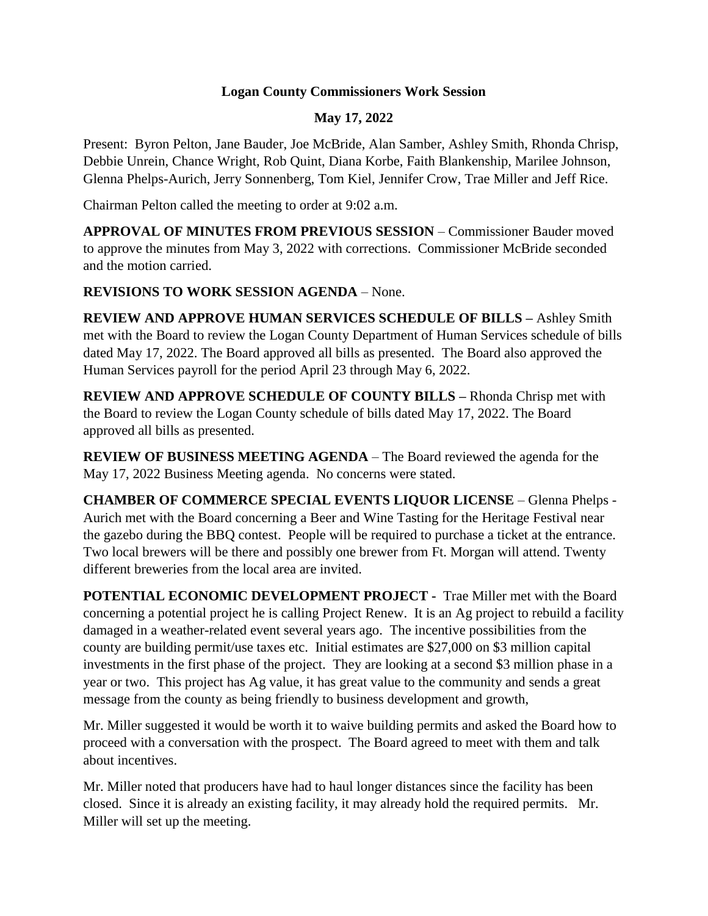## **Logan County Commissioners Work Session**

## **May 17, 2022**

Present: Byron Pelton, Jane Bauder, Joe McBride, Alan Samber, Ashley Smith, Rhonda Chrisp, Debbie Unrein, Chance Wright, Rob Quint, Diana Korbe, Faith Blankenship, Marilee Johnson, Glenna Phelps-Aurich, Jerry Sonnenberg, Tom Kiel, Jennifer Crow, Trae Miller and Jeff Rice.

Chairman Pelton called the meeting to order at 9:02 a.m.

**APPROVAL OF MINUTES FROM PREVIOUS SESSION** – Commissioner Bauder moved to approve the minutes from May 3, 2022 with corrections. Commissioner McBride seconded and the motion carried.

## **REVISIONS TO WORK SESSION AGENDA** – None.

**REVIEW AND APPROVE HUMAN SERVICES SCHEDULE OF BILLS –** Ashley Smith met with the Board to review the Logan County Department of Human Services schedule of bills dated May 17, 2022. The Board approved all bills as presented. The Board also approved the Human Services payroll for the period April 23 through May 6, 2022.

**REVIEW AND APPROVE SCHEDULE OF COUNTY BILLS –** Rhonda Chrisp met with the Board to review the Logan County schedule of bills dated May 17, 2022. The Board approved all bills as presented.

**REVIEW OF BUSINESS MEETING AGENDA** – The Board reviewed the agenda for the May 17, 2022 Business Meeting agenda. No concerns were stated.

**CHAMBER OF COMMERCE SPECIAL EVENTS LIQUOR LICENSE** – Glenna Phelps - Aurich met with the Board concerning a Beer and Wine Tasting for the Heritage Festival near the gazebo during the BBQ contest. People will be required to purchase a ticket at the entrance. Two local brewers will be there and possibly one brewer from Ft. Morgan will attend. Twenty different breweries from the local area are invited.

**POTENTIAL ECONOMIC DEVELOPMENT PROJECT -** Trae Miller met with the Board concerning a potential project he is calling Project Renew. It is an Ag project to rebuild a facility damaged in a weather-related event several years ago. The incentive possibilities from the county are building permit/use taxes etc. Initial estimates are \$27,000 on \$3 million capital investments in the first phase of the project. They are looking at a second \$3 million phase in a year or two. This project has Ag value, it has great value to the community and sends a great message from the county as being friendly to business development and growth,

Mr. Miller suggested it would be worth it to waive building permits and asked the Board how to proceed with a conversation with the prospect. The Board agreed to meet with them and talk about incentives.

Mr. Miller noted that producers have had to haul longer distances since the facility has been closed. Since it is already an existing facility, it may already hold the required permits. Mr. Miller will set up the meeting.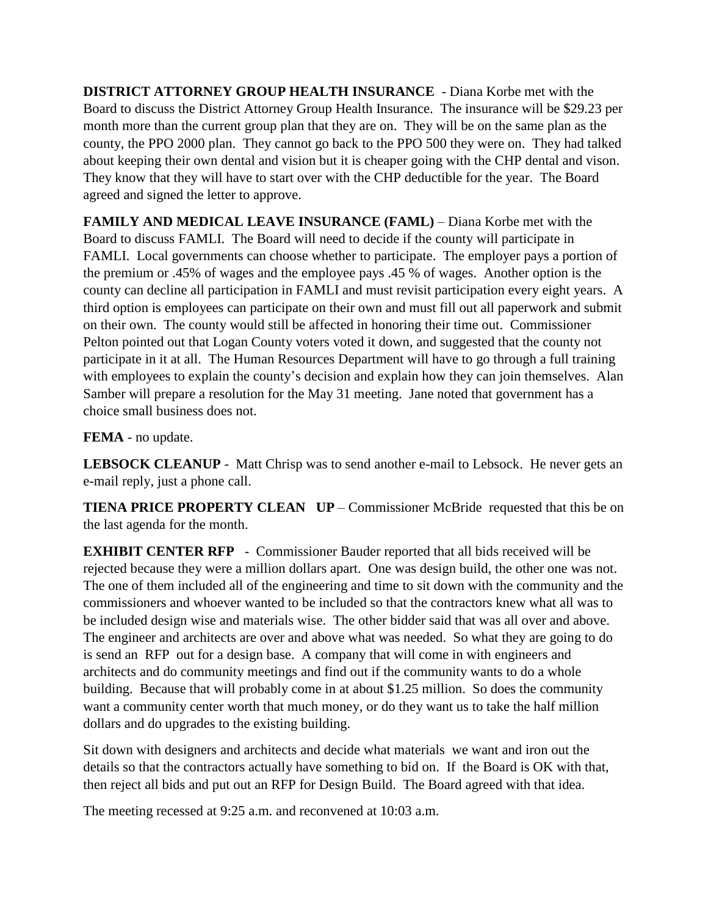**DISTRICT ATTORNEY GROUP HEALTH INSURANCE** - Diana Korbe met with the Board to discuss the District Attorney Group Health Insurance. The insurance will be \$29.23 per month more than the current group plan that they are on. They will be on the same plan as the county, the PPO 2000 plan. They cannot go back to the PPO 500 they were on. They had talked about keeping their own dental and vision but it is cheaper going with the CHP dental and vison. They know that they will have to start over with the CHP deductible for the year. The Board agreed and signed the letter to approve.

**FAMILY AND MEDICAL LEAVE INSURANCE (FAML)** – Diana Korbe met with the Board to discuss FAMLI. The Board will need to decide if the county will participate in FAMLI. Local governments can choose whether to participate. The employer pays a portion of the premium or .45% of wages and the employee pays .45 % of wages. Another option is the county can decline all participation in FAMLI and must revisit participation every eight years. A third option is employees can participate on their own and must fill out all paperwork and submit on their own. The county would still be affected in honoring their time out. Commissioner Pelton pointed out that Logan County voters voted it down, and suggested that the county not participate in it at all. The Human Resources Department will have to go through a full training with employees to explain the county's decision and explain how they can join themselves. Alan Samber will prepare a resolution for the May 31 meeting. Jane noted that government has a choice small business does not.

**FEMA** - no update.

**LEBSOCK CLEANUP** - Matt Chrisp was to send another e-mail to Lebsock. He never gets an e-mail reply, just a phone call.

**TIENA PRICE PROPERTY CLEAN UP** – Commissioner McBride requested that this be on the last agenda for the month.

**EXHIBIT CENTER RFP** - Commissioner Bauder reported that all bids received will be rejected because they were a million dollars apart. One was design build, the other one was not. The one of them included all of the engineering and time to sit down with the community and the commissioners and whoever wanted to be included so that the contractors knew what all was to be included design wise and materials wise. The other bidder said that was all over and above. The engineer and architects are over and above what was needed. So what they are going to do is send an RFP out for a design base. A company that will come in with engineers and architects and do community meetings and find out if the community wants to do a whole building. Because that will probably come in at about \$1.25 million. So does the community want a community center worth that much money, or do they want us to take the half million dollars and do upgrades to the existing building.

Sit down with designers and architects and decide what materials we want and iron out the details so that the contractors actually have something to bid on. If the Board is OK with that, then reject all bids and put out an RFP for Design Build. The Board agreed with that idea.

The meeting recessed at 9:25 a.m. and reconvened at 10:03 a.m.